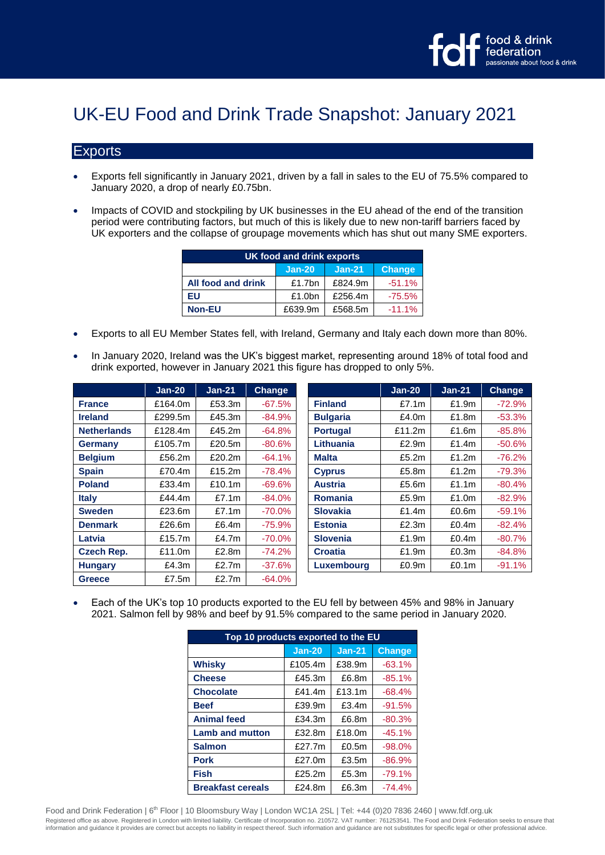

## UK-EU Food and Drink Trade Snapshot: January 2021

## **Exports**

- Exports fell significantly in January 2021, driven by a fall in sales to the EU of 75.5% compared to January 2020, a drop of nearly £0.75bn.
- Impacts of COVID and stockpiling by UK businesses in the EU ahead of the end of the transition period were contributing factors, but much of this is likely due to new non-tariff barriers faced by UK exporters and the collapse of groupage movements which has shut out many SME exporters.

| UK food and drink exports             |           |         |           |  |  |  |  |
|---------------------------------------|-----------|---------|-----------|--|--|--|--|
| <b>Change</b><br>$Jan-21$<br>$Jan-20$ |           |         |           |  |  |  |  |
| <b>All food and drink</b>             | £1.7 $bn$ | £824.9m | $-51.1\%$ |  |  |  |  |
| EU                                    | £1.0 $bn$ | £256.4m | $-75.5\%$ |  |  |  |  |
| <b>Non-EU</b>                         | £639.9m   | £568.5m | $-11.1%$  |  |  |  |  |

- Exports to all EU Member States fell, with Ireland, Germany and Italy each down more than 80%.
- In January 2020, Ireland was the UK's biggest market, representing around 18% of total food and drink exported, however in January 2021 this figure has dropped to only 5%.

|                    | $Jan-20$ | $Jan-21$ | <b>Change</b> |                 | $Jan-20$  | $Jan-21$          | Change   |
|--------------------|----------|----------|---------------|-----------------|-----------|-------------------|----------|
| <b>France</b>      | £164.0m  | £53.3m   | $-67.5%$      | <b>Finland</b>  | £7.1m     | £1.9m             | $-72.9%$ |
| <b>Ireland</b>     | £299.5m  | £45.3m   | $-84.9\%$     | <b>Bulgaria</b> | £4.0m     | £1.8m             | $-53.3%$ |
| <b>Netherlands</b> | £128.4m  | £45.2m   | $-64.8%$      | <b>Portugal</b> | £11.2 $m$ | £1.6m             | $-85.8%$ |
| Germany            | £105.7m  | £20.5m   | $-80.6%$      | Lithuania       | £2.9m     | £1.4 $m$          | $-50.6%$ |
| <b>Belgium</b>     | £56.2m   | £20.2m   | $-64.1%$      | <b>Malta</b>    | £5.2m     | £1.2m             | $-76.2%$ |
| <b>Spain</b>       | £70.4m   | £15.2m   | -78.4%        | <b>Cyprus</b>   | £5.8m     | £1.2 $m$          | $-79.3%$ |
| <b>Poland</b>      | £33.4m   | £10.1m   | $-69.6%$      | <b>Austria</b>  | £5.6m     | £1.1 $m$          | $-80.4%$ |
| <b>Italy</b>       | £44.4m   | £7.1m    | $-84.0\%$     | <b>Romania</b>  | £5.9m     | £1.0 <sub>m</sub> | $-82.9%$ |
| <b>Sweden</b>      | £23.6m   | £7.1m    | $-70.0\%$     | <b>Slovakia</b> | £1.4m     | £0.6 <sub>m</sub> | $-59.1%$ |
| <b>Denmark</b>     | £26.6m   | £6.4m    | $-75.9\%$     | <b>Estonia</b>  | £2.3m     | £0.4m             | $-82.4%$ |
| Latvia             | £15.7m   | £4.7m    | $-70.0\%$     | <b>Slovenia</b> | £1.9m     | £0.4m             | $-80.7%$ |
| <b>Czech Rep.</b>  | £11.0m   | £2.8m    | $-74.2\%$     | <b>Croatia</b>  | £1.9m     | £0.3m             | $-84.8%$ |
| <b>Hungary</b>     | £4.3m    | £2.7 $m$ | $-37.6%$      | Luxembourg      | £0.9m     | £0.1m             | $-91.1%$ |
| <b>Greece</b>      | £7.5m    | £2.7m    | $-64.0%$      |                 |           |                   |          |

| <u> Jan-20</u> | $Jan-21$ | Change    |                   | $Jan-20$ | $Jan-21$          | Change   |
|----------------|----------|-----------|-------------------|----------|-------------------|----------|
| £164.0m        | £53.3m   | $-67.5%$  | <b>Finland</b>    | £7.1 $m$ | £1.9m             | $-72.9%$ |
| £299.5m        | £45.3m   | $-84.9%$  | <b>Bulgaria</b>   | £4.0m    | £1.8m             | $-53.3%$ |
| £128.4m        | £45.2m   | $-64.8%$  | <b>Portugal</b>   | £11.2m   | £1.6m             | $-85.8%$ |
| £105.7m        | £20.5m   | $-80.6%$  | Lithuania         | £2.9m    | £1.4 $m$          | $-50.6%$ |
| £56.2m         | £20.2m   | $-64.1%$  | <b>Malta</b>      | £5.2m    | £1.2m             | $-76.2%$ |
| £70.4m         | £15.2m   | $-78.4%$  | <b>Cyprus</b>     | £5.8m    | £1.2m             | $-79.3%$ |
| £33.4m         | £10.1m   | $-69.6\%$ | <b>Austria</b>    | £5.6m    | £1.1 $m$          | $-80.4%$ |
| £44.4m         | £7.1m    | $-84.0%$  | <b>Romania</b>    | £5.9m    | £1.0m             | $-82.9%$ |
| £23.6m         | £7.1m    | $-70.0\%$ | <b>Slovakia</b>   | £1.4 $m$ | £0.6m             | $-59.1%$ |
| £26.6m         | £6.4m    | $-75.9%$  | <b>Estonia</b>    | £2.3m    | £0.4m             | $-82.4%$ |
| £15.7m         | £4.7m    | $-70.0\%$ | <b>Slovenia</b>   | £1.9m    | £0.4m             | $-80.7%$ |
| £11.0m         | £2.8m    | $-74.2%$  | <b>Croatia</b>    | £1.9m    | £0.3m             | $-84.8%$ |
| £4.3m          | £2.7m    | $-37.6%$  | <b>Luxembourg</b> | £0.9m    | £0.1 <sub>m</sub> | $-91.1%$ |

• Each of the UK's top 10 products exported to the EU fell by between 45% and 98% in January 2021. Salmon fell by 98% and beef by 91.5% compared to the same period in January 2020.

| Top 10 products exported to the EU    |         |        |          |  |  |  |  |  |
|---------------------------------------|---------|--------|----------|--|--|--|--|--|
| $Jan-20$<br>$Jan-21$<br><b>Change</b> |         |        |          |  |  |  |  |  |
| Whisky                                | £105.4m | £38.9m | $-63.1%$ |  |  |  |  |  |
| <b>Cheese</b>                         | £45.3m  | £6.8m  | $-85.1%$ |  |  |  |  |  |
| <b>Chocolate</b>                      | £41.4m  | £13.1m | $-68.4%$ |  |  |  |  |  |
| <b>Beef</b>                           | £39.9m  | £3.4m  | $-91.5%$ |  |  |  |  |  |
| <b>Animal feed</b>                    | £34.3m  | £6.8m  | $-80.3%$ |  |  |  |  |  |
| <b>Lamb and mutton</b>                | £32.8m  | £18.0m | $-45.1%$ |  |  |  |  |  |
| <b>Salmon</b>                         | £27.7m  | £0.5m  | $-98.0%$ |  |  |  |  |  |
| <b>Pork</b>                           | £27.0m  | £3.5m  | $-86.9%$ |  |  |  |  |  |
| <b>Fish</b>                           | £25.2m  | £5.3m  | $-79.1%$ |  |  |  |  |  |
| <b>Breakfast cereals</b>              | £24.8m  | £6.3m  | $-74.4%$ |  |  |  |  |  |

Food and Drink Federation | 6<sup>th</sup> Floor | 10 Bloomsbury Way | London WC1A 2SL | Tel: +44 (0)20 7836 2460 | www.fdf.org.uk Registered office as above. Registered in London with limited liability. Certificate of Incorporation no. 210572. VAT number: 761253541. The Food and Drink Federation seeks to ensure that<br>information and guidance it provid